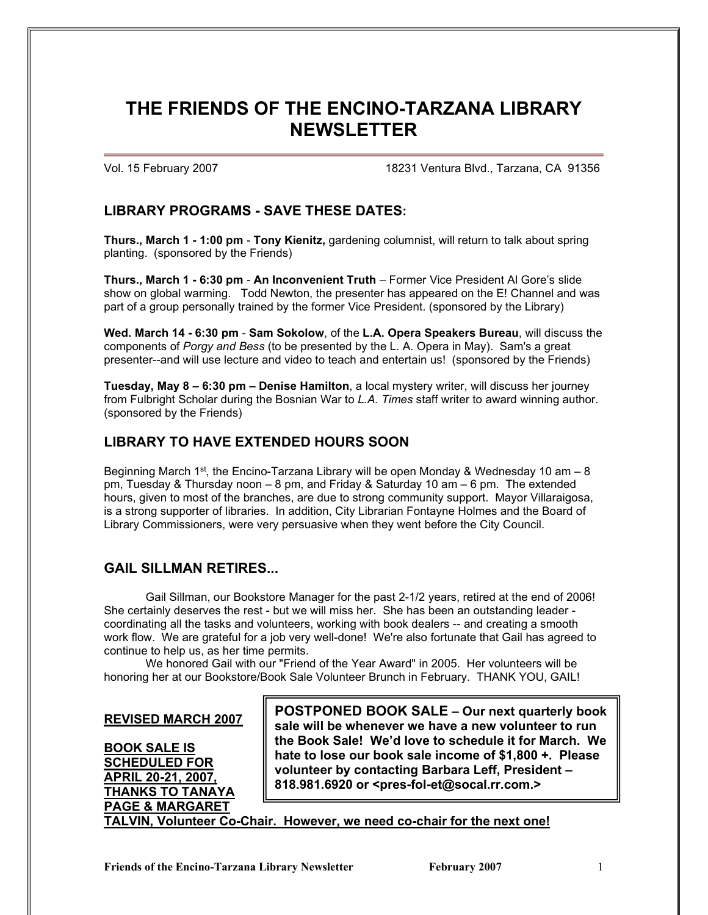# **THE FRIENDS OF THE ENCINO-TARZANA LIBRARY NEWSLETTER**

Vol. 15 February 2007 18231 Ventura Blvd., Tarzana, CA 91356

### **LIBRARY PROGRAMS - SAVE THESE DATES:**

**Thurs., March 1 - 1:00 pm** - **Tony Kienitz,** gardening columnist, will return to talk about spring planting. (sponsored by the Friends)

**Thurs., March 1 - 6:30 pm** - **An Inconvenient Truth** – Former Vice President Al Gore's slide show on global warming. Todd Newton, the presenter has appeared on the E! Channel and was part of a group personally trained by the former Vice President. (sponsored by the Library)

**Wed. March 14 - 6:30 pm** - **Sam Sokolow**, of the **L.A. Opera Speakers Bureau**, will discuss the components of *Porgy and Bess* (to be presented by the L. A. Opera in May). Sam's a great presenter--and will use lecture and video to teach and entertain us! (sponsored by the Friends)

**Tuesday, May 8 – 6:30 pm – Denise Hamilton**, a local mystery writer, will discuss her journey from Fulbright Scholar during the Bosnian War to *L.A. Times* staff writer to award winning author. (sponsored by the Friends)

## **LIBRARY TO HAVE EXTENDED HOURS SOON**

Beginning March 1st, the Encino-Tarzana Library will be open Monday & Wednesday 10 am  $-8$ pm, Tuesday & Thursday noon – 8 pm, and Friday & Saturday 10 am – 6 pm. The extended hours, given to most of the branches, are due to strong community support. Mayor Villaraigosa, is a strong supporter of libraries. In addition, City Librarian Fontayne Holmes and the Board of Library Commissioners, were very persuasive when they went before the City Council.

### **GAIL SILLMAN RETIRES...**

Gail Sillman, our Bookstore Manager for the past 2-1/2 years, retired at the end of 2006! She certainly deserves the rest - but we will miss her. She has been an outstanding leader coordinating all the tasks and volunteers, working with book dealers -- and creating a smooth work flow. We are grateful for a job very well-done! We're also fortunate that Gail has agreed to continue to help us, as her time permits.

We honored Gail with our "Friend of the Year Award" in 2005. Her volunteers will be honoring her at our Bookstore/Book Sale Volunteer Brunch in February. THANK YOU, GAIL!

#### **REVISED MARCH 2007**

**BOOK SALE IS SCHEDULED FOR APRIL 20-21, 2007, THANKS TO TANAYA PAGE & MARGARET**

**POSTPONED BOOK SALE – Our next quarterly book sale will be whenever we have a new volunteer to run the Book Sale! We'd love to schedule it for March. We hate to lose our book sale income of \$1,800 +. Please volunteer by contacting Barbara Leff, President – 818.981.6920 or <pres-fol-et@socal.rr.com.>**

**TALVIN, Volunteer Co-Chair. However, we need co-chair for the next one!**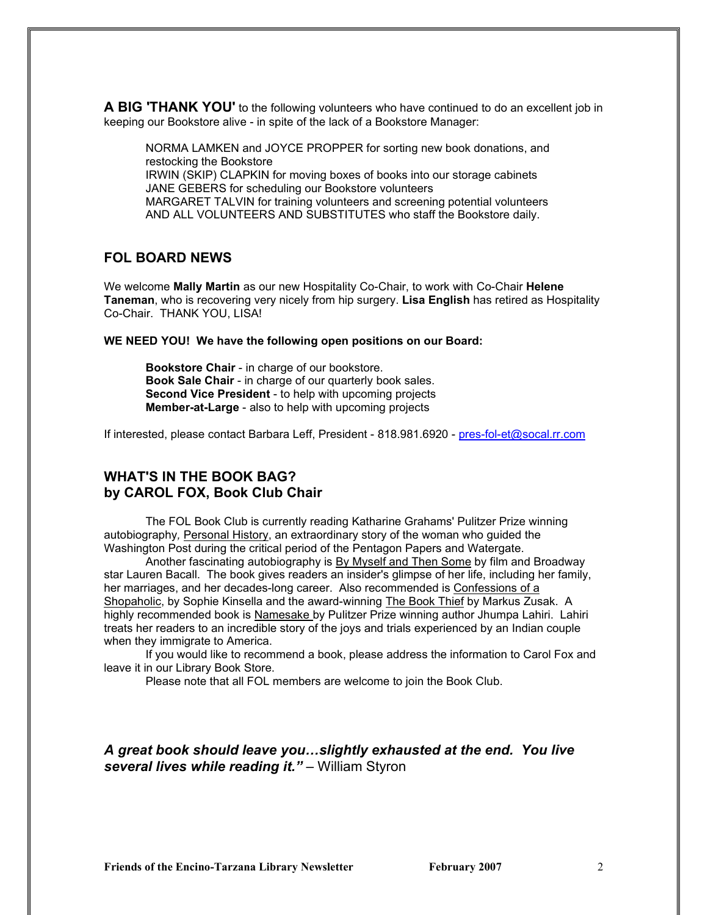**A BIG 'THANK YOU'** to the following volunteers who have continued to do an excellent job in keeping our Bookstore alive - in spite of the lack of a Bookstore Manager:

NORMA LAMKEN and JOYCE PROPPER for sorting new book donations, and restocking the Bookstore IRWIN (SKIP) CLAPKIN for moving boxes of books into our storage cabinets JANE GEBERS for scheduling our Bookstore volunteers MARGARET TALVIN for training volunteers and screening potential volunteers AND ALL VOLUNTEERS AND SUBSTITUTES who staff the Bookstore daily.

### **FOL BOARD NEWS**

We welcome **Mally Martin** as our new Hospitality Co-Chair, to work with Co-Chair **Helene Taneman**, who is recovering very nicely from hip surgery. **Lisa English** has retired as Hospitality Co-Chair. THANK YOU, LISA!

#### **WE NEED YOU! We have the following open positions on our Board:**

**Bookstore Chair** - in charge of our bookstore. **Book Sale Chair** - in charge of our quarterly book sales. **Second Vice President** - to help with upcoming projects **Member-at-Large** - also to help with upcoming projects

If interested, please contact Barbara Leff, President - 818.981.6920 - [pres-fol-et@socal.rr.com](mailto:pres-fol-et@socal.rr.com)

#### **WHAT'S IN THE BOOK BAG? by CAROL FOX, Book Club Chair**

The FOL Book Club is currently reading Katharine Grahams' Pulitzer Prize winning autobiography*,* Personal History, an extraordinary story of the woman who guided the Washington Post during the critical period of the Pentagon Papers and Watergate.

Another fascinating autobiography is By Myself and Then Some by film and Broadway star Lauren Bacall. The book gives readers an insider's glimpse of her life, including her family, her marriages, and her decades-long career. Also recommended is Confessions of a Shopaholic, by Sophie Kinsella and the award-winning The Book Thief by Markus Zusak. A highly recommended book is Namesake by Pulitzer Prize winning author Jhumpa Lahiri. Lahiri treats her readers to an incredible story of the joys and trials experienced by an Indian couple when they immigrate to America.

If you would like to recommend a book, please address the information to Carol Fox and leave it in our Library Book Store.

Please note that all FOL members are welcome to join the Book Club.

#### *A great book should leave you…slightly exhausted at the end. You live several lives while reading it."* – William Styron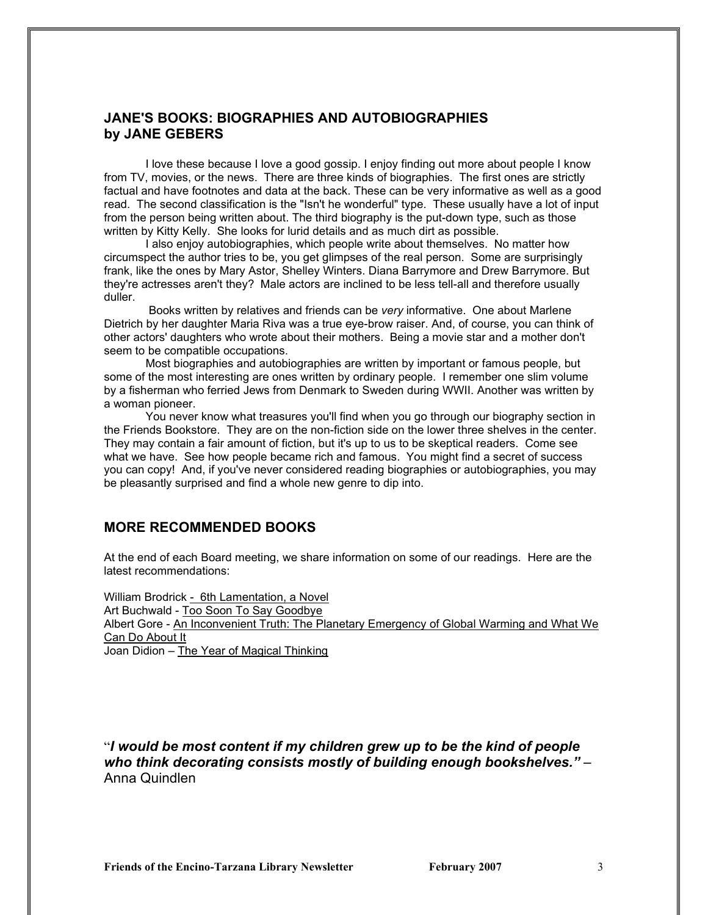#### **JANE'S BOOKS: BIOGRAPHIES AND AUTOBIOGRAPHIES by JANE GEBERS**

I love these because I love a good gossip. I enjoy finding out more about people I know from TV, movies, or the news. There are three kinds of biographies. The first ones are strictly factual and have footnotes and data at the back. These can be very informative as well as a good read. The second classification is the "Isn't he wonderful" type. These usually have a lot of input from the person being written about. The third biography is the put-down type, such as those written by Kitty Kelly. She looks for lurid details and as much dirt as possible.

I also enjoy autobiographies, which people write about themselves. No matter how circumspect the author tries to be, you get glimpses of the real person. Some are surprisingly frank, like the ones by Mary Astor, Shelley Winters. Diana Barrymore and Drew Barrymore. But they're actresses aren't they? Male actors are inclined to be less tell-all and therefore usually duller.

Books written by relatives and friends can be *very* informative. One about Marlene Dietrich by her daughter Maria Riva was a true eye-brow raiser. And, of course, you can think of other actors' daughters who wrote about their mothers. Being a movie star and a mother don't seem to be compatible occupations.

 Most biographies and autobiographies are written by important or famous people, but some of the most interesting are ones written by ordinary people. I remember one slim volume by a fisherman who ferried Jews from Denmark to Sweden during WWII. Another was written by a woman pioneer.

You never know what treasures you'll find when you go through our biography section in the Friends Bookstore. They are on the non-fiction side on the lower three shelves in the center. They may contain a fair amount of fiction, but it's up to us to be skeptical readers. Come see what we have. See how people became rich and famous. You might find a secret of success you can copy! And, if you've never considered reading biographies or autobiographies, you may be pleasantly surprised and find a whole new genre to dip into.

### **MORE RECOMMENDED BOOKS**

At the end of each Board meeting, we share information on some of our readings. Here are the latest recommendations:

William Brodrick - 6th Lamentation, a Novel Art Buchwald - Too Soon To Say Goodbye Albert Gore - An Inconvenient Truth: The Planetary Emergency of Global Warming and What We Can Do About It Joan Didion – The Year of Magical Thinking

"*I would be most content if my children grew up to be the kind of people who think decorating consists mostly of building enough bookshelves."* – Anna Quindlen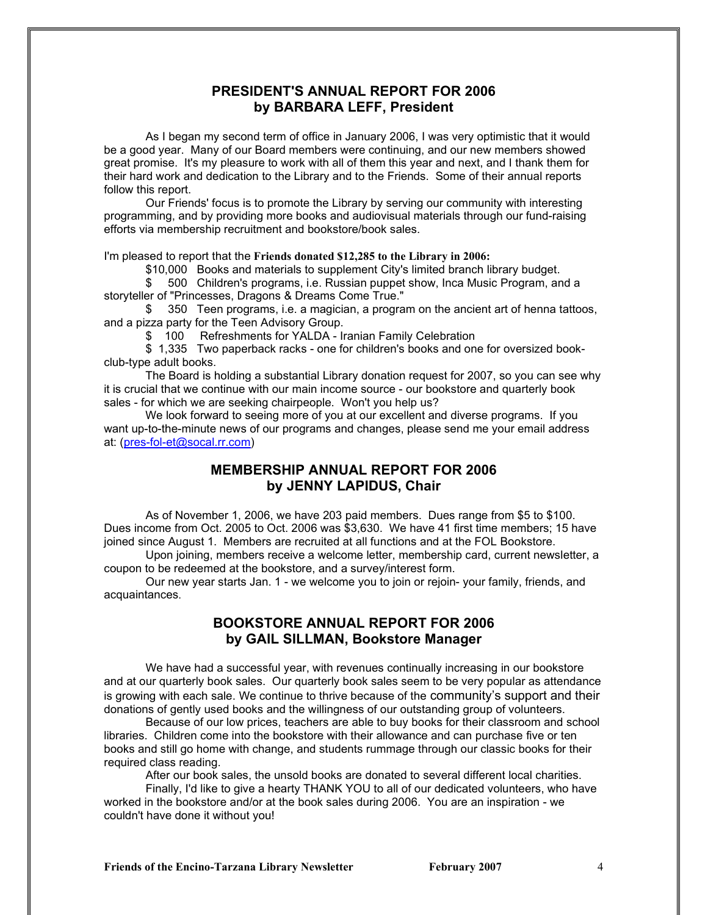#### **PRESIDENT'S ANNUAL REPORT FOR 2006 by BARBARA LEFF, President**

As I began my second term of office in January 2006, I was very optimistic that it would be a good year. Many of our Board members were continuing, and our new members showed great promise. It's my pleasure to work with all of them this year and next, and I thank them for their hard work and dedication to the Library and to the Friends. Some of their annual reports follow this report.

Our Friends' focus is to promote the Library by serving our community with interesting programming, and by providing more books and audiovisual materials through our fund-raising efforts via membership recruitment and bookstore/book sales.

I'm pleased to report that the **Friends donated \$12,285 to the Library in 2006:**

\$10,000 Books and materials to supplement City's limited branch library budget.

\$ 500 Children's programs, i.e. Russian puppet show, Inca Music Program, and a storyteller of "Princesses, Dragons & Dreams Come True."

350 Teen programs, i.e. a magician, a program on the ancient art of henna tattoos, and a pizza party for the Teen Advisory Group.

\$ 100 Refreshments for YALDA - Iranian Family Celebration

\$ 1,335 Two paperback racks - one for children's books and one for oversized bookclub-type adult books.

The Board is holding a substantial Library donation request for 2007, so you can see why it is crucial that we continue with our main income source - our bookstore and quarterly book sales - for which we are seeking chairpeople. Won't you help us?

We look forward to seeing more of you at our excellent and diverse programs. If you want up-to-the-minute news of our programs and changes, please send me your email address at: [\(pres-fol-et@socal.rr.com\)](mailto:pres-fol-et@socal.rr.com)

#### **MEMBERSHIP ANNUAL REPORT FOR 2006 by JENNY LAPIDUS, Chair**

As of November 1, 2006, we have 203 paid members. Dues range from \$5 to \$100. Dues income from Oct. 2005 to Oct. 2006 was \$3,630. We have 41 first time members; 15 have joined since August 1. Members are recruited at all functions and at the FOL Bookstore.

Upon joining, members receive a welcome letter, membership card, current newsletter, a coupon to be redeemed at the bookstore, and a survey/interest form.

Our new year starts Jan. 1 - we welcome you to join or rejoin- your family, friends, and acquaintances.

### **BOOKSTORE ANNUAL REPORT FOR 2006 by GAIL SILLMAN, Bookstore Manager**

We have had a successful year, with revenues continually increasing in our bookstore and at our quarterly book sales. Our quarterly book sales seem to be very popular as attendance is growing with each sale. We continue to thrive because of the community's support and their donations of gently used books and the willingness of our outstanding group of volunteers.

Because of our low prices, teachers are able to buy books for their classroom and school libraries. Children come into the bookstore with their allowance and can purchase five or ten books and still go home with change, and students rummage through our classic books for their required class reading.

After our book sales, the unsold books are donated to several different local charities.

Finally, I'd like to give a hearty THANK YOU to all of our dedicated volunteers, who have worked in the bookstore and/or at the book sales during 2006. You are an inspiration - we couldn't have done it without you!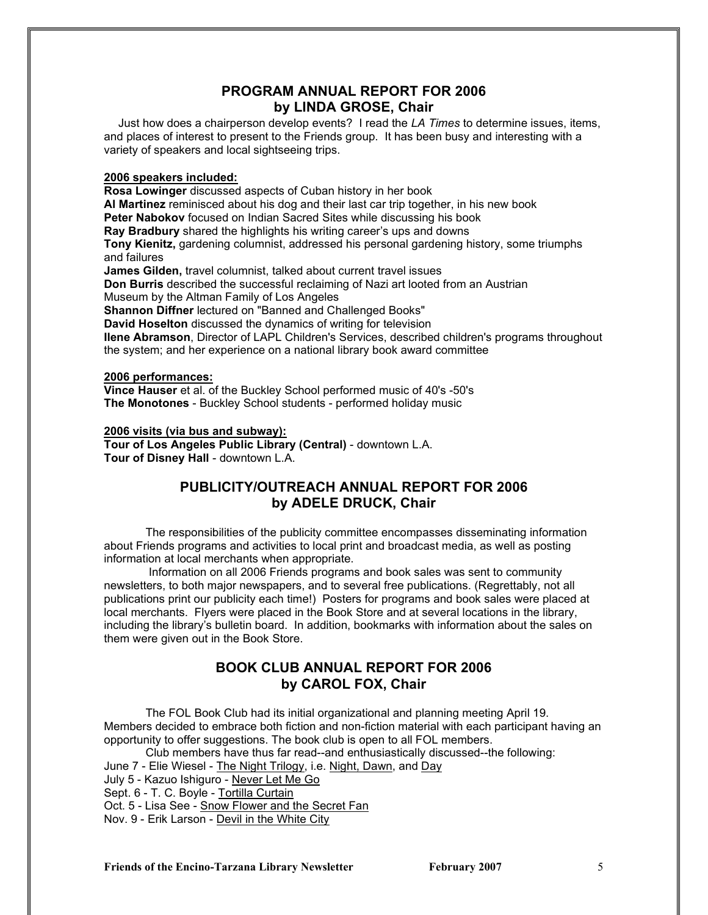#### **PROGRAM ANNUAL REPORT FOR 2006 by LINDA GROSE, Chair**

 Just how does a chairperson develop events? I read the *LA Times* to determine issues, items, and places of interest to present to the Friends group. It has been busy and interesting with a variety of speakers and local sightseeing trips.

#### **2006 speakers included:**

**Rosa Lowinger** discussed aspects of Cuban history in her book

**Al Martinez** reminisced about his dog and their last car trip together, in his new book

**Peter Nabokov** focused on Indian Sacred Sites while discussing his book

**Ray Bradbury** shared the highlights his writing career's ups and downs

**Tony Kienitz,** gardening columnist, addressed his personal gardening history, some triumphs and failures

**James Gilden,** travel columnist, talked about current travel issues

**Don Burris** described the successful reclaiming of Nazi art looted from an Austrian

Museum by the Altman Family of Los Angeles

**Shannon Diffner** lectured on "Banned and Challenged Books"

**David Hoselton** discussed the dynamics of writing for television

**Ilene Abramson**, Director of LAPL Children's Services, described children's programs throughout the system; and her experience on a national library book award committee

#### **2006 performances:**

**Vince Hauser** et al. of the Buckley School performed music of 40's -50's **The Monotones** - Buckley School students - performed holiday music

#### **2006 visits (via bus and subway):**

**Tour of Los Angeles Public Library (Central)** - downtown L.A. **Tour of Disney Hall** - downtown L.A.

#### **PUBLICITY/OUTREACH ANNUAL REPORT FOR 2006 by ADELE DRUCK, Chair**

The responsibilities of the publicity committee encompasses disseminating information about Friends programs and activities to local print and broadcast media, as well as posting information at local merchants when appropriate.

 Information on all 2006 Friends programs and book sales was sent to community newsletters, to both major newspapers, and to several free publications. (Regrettably, not all publications print our publicity each time!) Posters for programs and book sales were placed at local merchants. Flyers were placed in the Book Store and at several locations in the library, including the library's bulletin board. In addition, bookmarks with information about the sales on them were given out in the Book Store.

## **BOOK CLUB ANNUAL REPORT FOR 2006 by CAROL FOX, Chair**

The FOL Book Club had its initial organizational and planning meeting April 19. Members decided to embrace both fiction and non-fiction material with each participant having an opportunity to offer suggestions. The book club is open to all FOL members.

Club members have thus far read--and enthusiastically discussed--the following:

June 7 - Elie Wiesel - The Night Trilogy, i.e. Night, Dawn, and Day

- July 5 Kazuo Ishiguro Never Let Me Go
- Sept. 6 T. C. Boyle Tortilla Curtain

Oct. 5 - Lisa See - Snow Flower and the Secret Fan

Nov. 9 - Erik Larson - Devil in the White City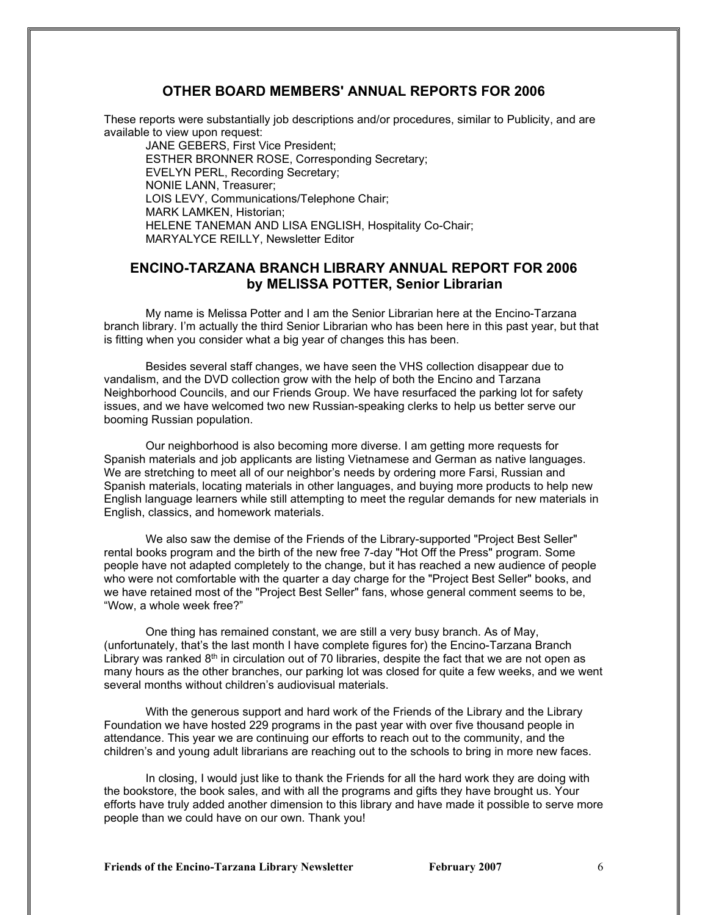### **OTHER BOARD MEMBERS' ANNUAL REPORTS FOR 2006**

These reports were substantially job descriptions and/or procedures, similar to Publicity, and are available to view upon request:

JANE GEBERS, First Vice President; ESTHER BRONNER ROSE, Corresponding Secretary; EVELYN PERL, Recording Secretary; NONIE LANN, Treasurer; LOIS LEVY, Communications/Telephone Chair; MARK LAMKEN, Historian; HELENE TANEMAN AND LISA ENGLISH, Hospitality Co-Chair; MARYALYCE REILLY, Newsletter Editor

#### **ENCINO-TARZANA BRANCH LIBRARY ANNUAL REPORT FOR 2006 by MELISSA POTTER, Senior Librarian**

My name is Melissa Potter and I am the Senior Librarian here at the Encino-Tarzana branch library. I'm actually the third Senior Librarian who has been here in this past year, but that is fitting when you consider what a big year of changes this has been.

Besides several staff changes, we have seen the VHS collection disappear due to vandalism, and the DVD collection grow with the help of both the Encino and Tarzana Neighborhood Councils, and our Friends Group. We have resurfaced the parking lot for safety issues, and we have welcomed two new Russian-speaking clerks to help us better serve our booming Russian population.

Our neighborhood is also becoming more diverse. I am getting more requests for Spanish materials and job applicants are listing Vietnamese and German as native languages. We are stretching to meet all of our neighbor's needs by ordering more Farsi, Russian and Spanish materials, locating materials in other languages, and buying more products to help new English language learners while still attempting to meet the regular demands for new materials in English, classics, and homework materials.

We also saw the demise of the Friends of the Library-supported "Project Best Seller" rental books program and the birth of the new free 7-day "Hot Off the Press" program. Some people have not adapted completely to the change, but it has reached a new audience of people who were not comfortable with the quarter a day charge for the "Project Best Seller" books, and we have retained most of the "Project Best Seller" fans, whose general comment seems to be, "Wow, a whole week free?"

One thing has remained constant, we are still a very busy branch. As of May, (unfortunately, that's the last month I have complete figures for) the Encino-Tarzana Branch Library was ranked  $8<sup>th</sup>$  in circulation out of 70 libraries, despite the fact that we are not open as many hours as the other branches, our parking lot was closed for quite a few weeks, and we went several months without children's audiovisual materials.

With the generous support and hard work of the Friends of the Library and the Library Foundation we have hosted 229 programs in the past year with over five thousand people in attendance. This year we are continuing our efforts to reach out to the community, and the children's and young adult librarians are reaching out to the schools to bring in more new faces.

In closing, I would just like to thank the Friends for all the hard work they are doing with the bookstore, the book sales, and with all the programs and gifts they have brought us. Your efforts have truly added another dimension to this library and have made it possible to serve more people than we could have on our own. Thank you!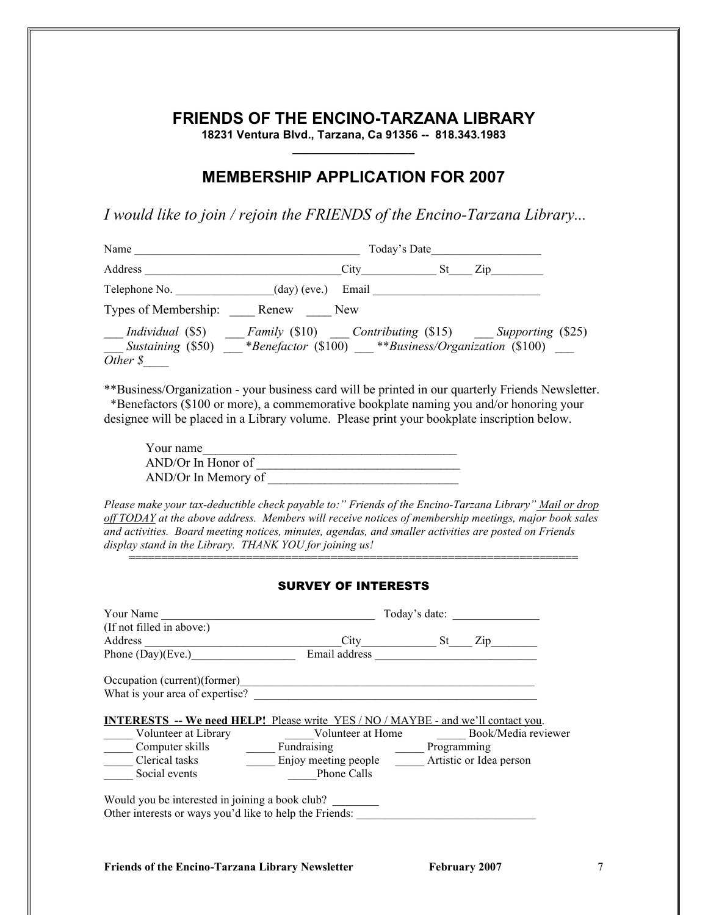# **FRIENDS OF THE ENCINO-TARZANA LIBRARY**

**18231 Ventura Blvd., Tarzana, Ca 91356 -- 818.343.1983 \_\_\_\_\_\_\_\_\_\_\_\_\_\_\_\_\_\_\_**

# **MEMBERSHIP APPLICATION FOR 2007**

*I would like to join / rejoin the FRIENDS of the Encino-Tarzana Library...*

| Name                                                                                                           | Today's Date          |                                |     |                                                     |  |
|----------------------------------------------------------------------------------------------------------------|-----------------------|--------------------------------|-----|-----------------------------------------------------|--|
| Address                                                                                                        |                       | $City$ <sub>____________</sub> | St. | $\mathbb{Z}^{1}$                                    |  |
| Telephone No.                                                                                                  | $(\text{day})$ (eve.) | Email                          |     |                                                     |  |
| Types of Membership:                                                                                           | Renew                 | New                            |     |                                                     |  |
| <i>Individual</i> (\$5)<br>Sustaining (\$50) __*Benefactor (\$100) **Business/Organization (\$100)<br>Other \$ |                       |                                |     | Family (\$10) Contributing (\$15) Supporting (\$25) |  |

\*\*Business/Organization - your business card will be printed in our quarterly Friends Newsletter. \*Benefactors (\$100 or more), a commemorative bookplate naming you and/or honoring your designee will be placed in a Library volume. Please print your bookplate inscription below.

| Your name            |  |
|----------------------|--|
| $AND/Or$ In Honor of |  |
| AND/Or In Memory of  |  |

*Please make your tax-deductible check payable to:" Friends of the Encino-Tarzana Library" Mail or drop off TODAY at the above address. Members will receive notices of membership meetings, major book sales and activities. Board meeting notices, minutes, agendas, and smaller activities are posted on Friends display stand in the Library. THANK YOU for joining us!*

#### SURVEY OF INTERESTS

=====================================================================

| Your Name                                                                                                  | Today's date:        |             |                         |  |  |
|------------------------------------------------------------------------------------------------------------|----------------------|-------------|-------------------------|--|--|
| (If not filled in above:)                                                                                  |                      |             |                         |  |  |
| <b>Address</b>                                                                                             | City                 | St          | Zip                     |  |  |
| Phone $(Day)(Eve.)$                                                                                        | Email address        |             |                         |  |  |
| Occupation (current) (former)                                                                              |                      |             |                         |  |  |
| What is your area of expertise?                                                                            |                      |             |                         |  |  |
| <b>INTERESTS -- We need HELP!</b> Please write YES / NO / MAYBE - and we'll contact you.                   |                      |             |                         |  |  |
| Volunteer at Library                                                                                       | Volunteer at Home    |             | Book/Media reviewer     |  |  |
| Computer skills                                                                                            | Fundraising          | Programming |                         |  |  |
| Clerical tasks                                                                                             | Enjoy meeting people |             | Artistic or Idea person |  |  |
| Social events                                                                                              | Phone Calls          |             |                         |  |  |
| Would you be interested in joining a book club?<br>Other interests or ways you'd like to help the Friends: |                      |             |                         |  |  |